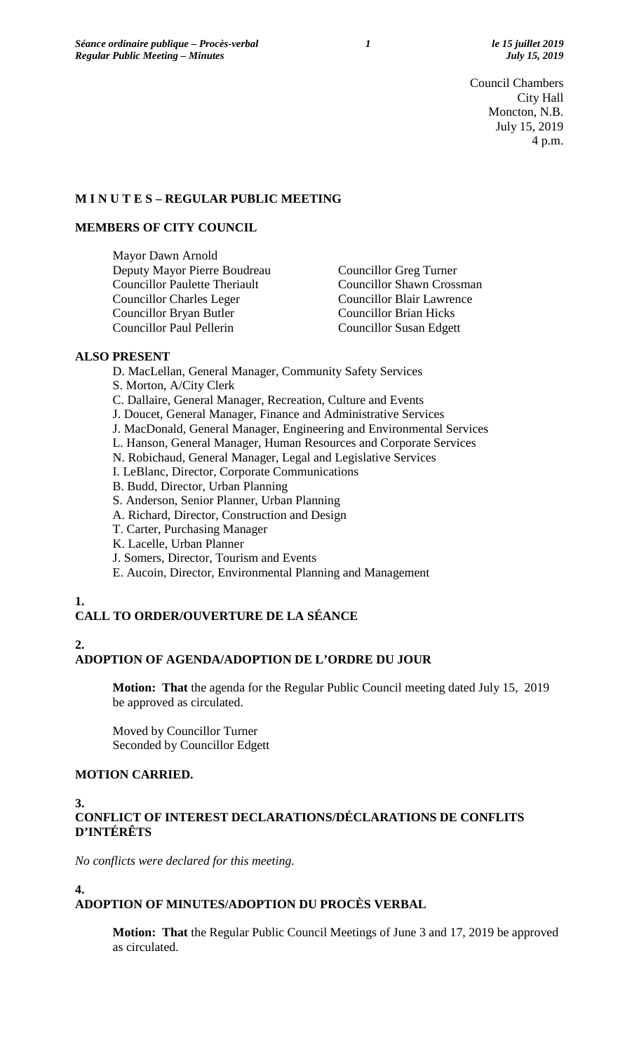Council Chambers City Hall Moncton, N.B. July 15, 2019 4 p.m.

#### **M I N U T E S – REGULAR PUBLIC MEETING**

#### **MEMBERS OF CITY COUNCIL**

Mayor Dawn Arnold Deputy Mayor Pierre Boudreau Councillor Greg Turner Councillor Paulette Theriault Councillor Shawn Crossman Councillor Charles Leger Councillor Blair Lawrence Councillor Bryan Butler Councillor Brian Hicks Councillor Paul Pellerin Councillor Susan Edgett

## **ALSO PRESENT**

- D. MacLellan, General Manager, Community Safety Services S. Morton, A/City Clerk
- C. Dallaire, General Manager, Recreation, Culture and Events
- J. Doucet, General Manager, Finance and Administrative Services
- J. MacDonald, General Manager, Engineering and Environmental Services
- L. Hanson, General Manager, Human Resources and Corporate Services
- N. Robichaud, General Manager, Legal and Legislative Services
- I. LeBlanc, Director, Corporate Communications
- B. Budd, Director, Urban Planning
- S. Anderson, Senior Planner, Urban Planning
- A. Richard, Director, Construction and Design
- T. Carter, Purchasing Manager
- K. Lacelle, Urban Planner
- J. Somers, Director, Tourism and Events
- E. Aucoin, Director, Environmental Planning and Management

# **1.**

## **CALL TO ORDER/OUVERTURE DE LA SÉANCE**

# **2.**

**4.**

## **ADOPTION OF AGENDA/ADOPTION DE L'ORDRE DU JOUR**

**Motion: That** the agenda for the Regular Public Council meeting dated July 15, 2019 be approved as circulated.

Moved by Councillor Turner Seconded by Councillor Edgett

## **MOTION CARRIED.**

#### **3. CONFLICT OF INTEREST DECLARATIONS/DÉCLARATIONS DE CONFLITS D'INTÉRÊTS**

*No conflicts were declared for this meeting.*

# **ADOPTION OF MINUTES/ADOPTION DU PROCÈS VERBAL**

**Motion: That** the Regular Public Council Meetings of June 3 and 17, 2019 be approved as circulated.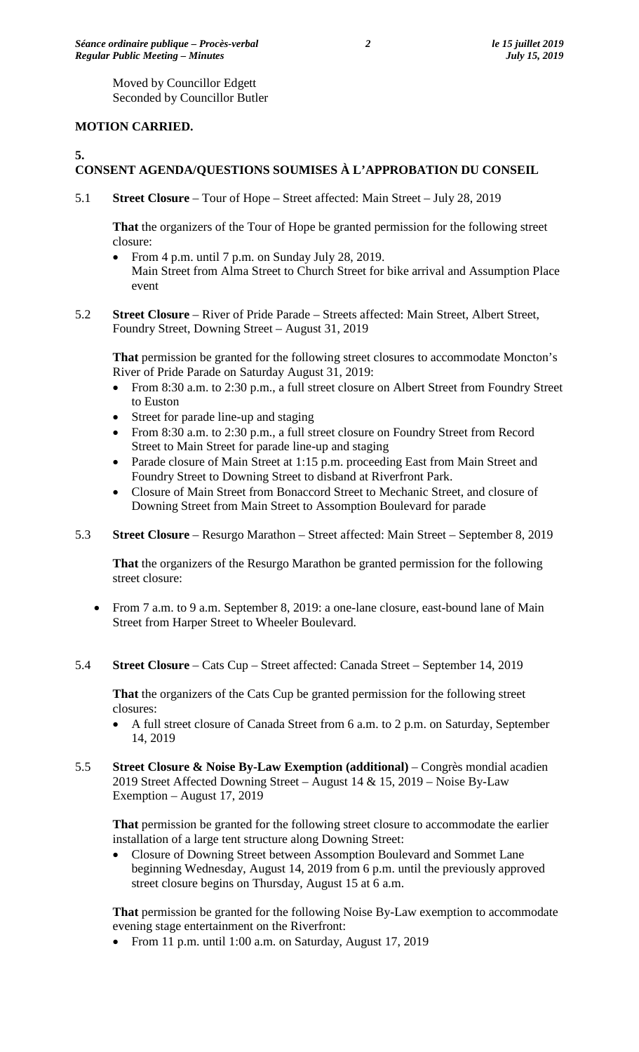Moved by Councillor Edgett Seconded by Councillor Butler

## **MOTION CARRIED.**

## **5.**

# **CONSENT AGENDA/QUESTIONS SOUMISES À L'APPROBATION DU CONSEIL**

5.1 **Street Closure** – Tour of Hope – Street affected: Main Street – July 28, 2019

**That** the organizers of the Tour of Hope be granted permission for the following street closure:

- From 4 p.m. until 7 p.m. on Sunday July 28, 2019. Main Street from Alma Street to Church Street for bike arrival and Assumption Place event
- 5.2 **Street Closure**  River of Pride Parade Streets affected: Main Street, Albert Street, Foundry Street, Downing Street – August 31, 2019

**That** permission be granted for the following street closures to accommodate Moncton's River of Pride Parade on Saturday August 31, 2019:

- From 8:30 a.m. to 2:30 p.m., a full street closure on Albert Street from Foundry Street to Euston
- Street for parade line-up and staging
- From 8:30 a.m. to 2:30 p.m., a full street closure on Foundry Street from Record Street to Main Street for parade line-up and staging
- Parade closure of Main Street at 1:15 p.m. proceeding East from Main Street and Foundry Street to Downing Street to disband at Riverfront Park.
- Closure of Main Street from Bonaccord Street to Mechanic Street, and closure of Downing Street from Main Street to Assomption Boulevard for parade

## 5.3 **Street Closure** – Resurgo Marathon – Street affected: Main Street – September 8, 2019

**That** the organizers of the Resurgo Marathon be granted permission for the following street closure:

- From 7 a.m. to 9 a.m. September 8, 2019: a one-lane closure, east-bound lane of Main Street from Harper Street to Wheeler Boulevard.
- 5.4 **Street Closure** Cats Cup Street affected: Canada Street September 14, 2019

**That** the organizers of the Cats Cup be granted permission for the following street closures:

- A full street closure of Canada Street from 6 a.m. to 2 p.m. on Saturday, September 14, 2019
- 5.5 **Street Closure & Noise By-Law Exemption (additional)**  Congrès mondial acadien 2019 Street Affected Downing Street – August 14 & 15, 2019 – Noise By-Law Exemption – August 17, 2019

**That** permission be granted for the following street closure to accommodate the earlier installation of a large tent structure along Downing Street:

• Closure of Downing Street between Assomption Boulevard and Sommet Lane beginning Wednesday, August 14, 2019 from 6 p.m. until the previously approved street closure begins on Thursday, August 15 at 6 a.m.

**That** permission be granted for the following Noise By-Law exemption to accommodate evening stage entertainment on the Riverfront:

• From 11 p.m. until 1:00 a.m. on Saturday, August 17, 2019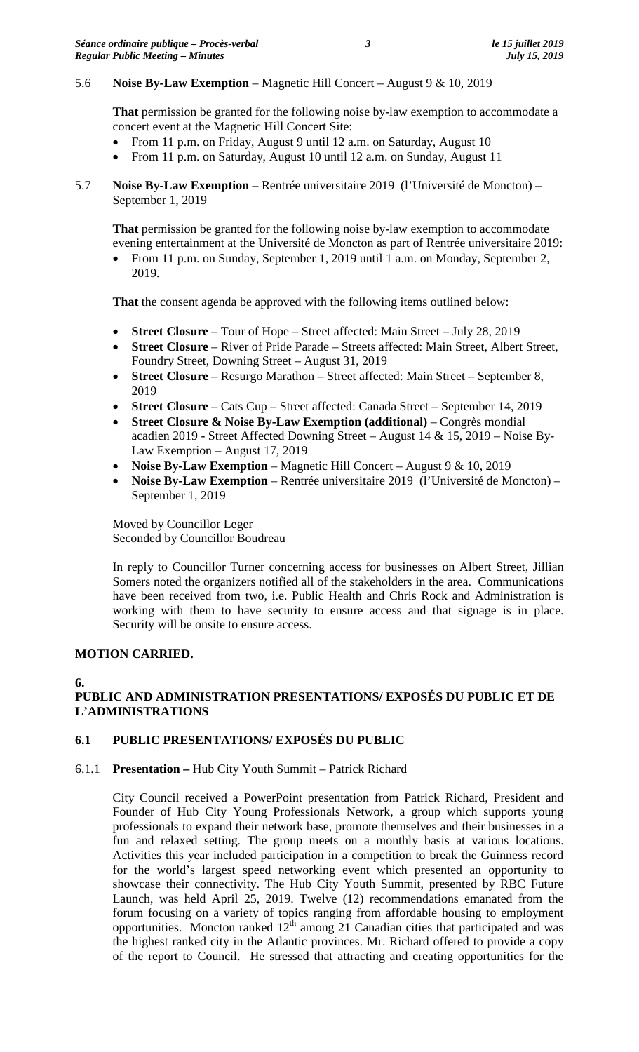## 5.6 **Noise By-Law Exemption** – Magnetic Hill Concert – August 9 & 10, 2019

**That** permission be granted for the following noise by-law exemption to accommodate a concert event at the Magnetic Hill Concert Site:

- From 11 p.m. on Friday, August 9 until 12 a.m. on Saturday, August 10
- From 11 p.m. on Saturday, August 10 until 12 a.m. on Sunday, August 11
- 5.7 **Noise By-Law Exemption** Rentrée universitaire 2019 (l'Université de Moncton) September 1, 2019

**That** permission be granted for the following noise by-law exemption to accommodate evening entertainment at the Université de Moncton as part of Rentrée universitaire 2019:

• From 11 p.m. on Sunday, September 1, 2019 until 1 a.m. on Monday, September 2, 2019.

**That** the consent agenda be approved with the following items outlined below:

- **Street Closure** Tour of Hope Street affected: Main Street July 28, 2019
- **Street Closure**  River of Pride Parade Streets affected: Main Street, Albert Street, Foundry Street, Downing Street – August 31, 2019
- **Street Closure** Resurgo Marathon Street affected: Main Street September 8, 2019
- **Street Closure** Cats Cup Street affected: Canada Street September 14, 2019
- **Street Closure & Noise By-Law Exemption (additional)**  Congrès mondial acadien 2019 - Street Affected Downing Street – August 14 & 15, 2019 – Noise By-Law Exemption – August 17, 2019
- **Noise By-Law Exemption** Magnetic Hill Concert August 9 & 10, 2019
- **Noise By-Law Exemption** Rentrée universitaire 2019 (l'Université de Moncton) September 1, 2019

Moved by Councillor Leger Seconded by Councillor Boudreau

In reply to Councillor Turner concerning access for businesses on Albert Street, Jillian Somers noted the organizers notified all of the stakeholders in the area. Communications have been received from two, i.e. Public Health and Chris Rock and Administration is working with them to have security to ensure access and that signage is in place. Security will be onsite to ensure access.

## **MOTION CARRIED.**

**6.**

## **PUBLIC AND ADMINISTRATION PRESENTATIONS/ EXPOSÉS DU PUBLIC ET DE L'ADMINISTRATIONS**

## **6.1 PUBLIC PRESENTATIONS/ EXPOSÉS DU PUBLIC**

6.1.1 **Presentation –** Hub City Youth Summit – Patrick Richard

City Council received a PowerPoint presentation from Patrick Richard, President and Founder of Hub City Young Professionals Network, a group which supports young professionals to expand their network base, promote themselves and their businesses in a fun and relaxed setting. The group meets on a monthly basis at various locations. Activities this year included participation in a competition to break the Guinness record for the world's largest speed networking event which presented an opportunity to showcase their connectivity. The Hub City Youth Summit, presented by RBC Future Launch, was held April 25, 2019. Twelve (12) recommendations emanated from the forum focusing on a variety of topics ranging from affordable housing to employment opportunities. Moncton ranked  $12<sup>th</sup>$  among 21 Canadian cities that participated and was the highest ranked city in the Atlantic provinces. Mr. Richard offered to provide a copy of the report to Council. He stressed that attracting and creating opportunities for the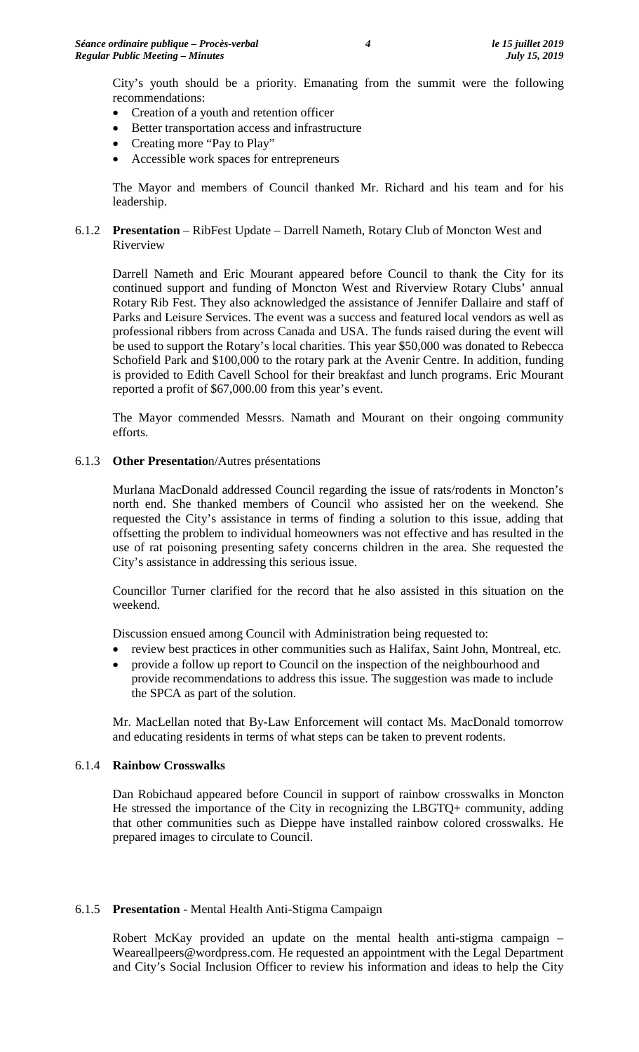City's youth should be a priority. Emanating from the summit were the following recommendations:

- Creation of a youth and retention officer
- Better transportation access and infrastructure
- Creating more "Pay to Play"
- Accessible work spaces for entrepreneurs

The Mayor and members of Council thanked Mr. Richard and his team and for his leadership.

## 6.1.2 **Presentation** – RibFest Update – Darrell Nameth, Rotary Club of Moncton West and Riverview

Darrell Nameth and Eric Mourant appeared before Council to thank the City for its continued support and funding of Moncton West and Riverview Rotary Clubs' annual Rotary Rib Fest. They also acknowledged the assistance of Jennifer Dallaire and staff of Parks and Leisure Services. The event was a success and featured local vendors as well as professional ribbers from across Canada and USA. The funds raised during the event will be used to support the Rotary's local charities. This year \$50,000 was donated to Rebecca Schofield Park and \$100,000 to the rotary park at the Avenir Centre. In addition, funding is provided to Edith Cavell School for their breakfast and lunch programs. Eric Mourant reported a profit of \$67,000.00 from this year's event.

The Mayor commended Messrs. Namath and Mourant on their ongoing community efforts.

## 6.1.3 **Other Presentatio**n/Autres présentations

Murlana MacDonald addressed Council regarding the issue of rats/rodents in Moncton's north end. She thanked members of Council who assisted her on the weekend. She requested the City's assistance in terms of finding a solution to this issue, adding that offsetting the problem to individual homeowners was not effective and has resulted in the use of rat poisoning presenting safety concerns children in the area. She requested the City's assistance in addressing this serious issue.

Councillor Turner clarified for the record that he also assisted in this situation on the weekend.

Discussion ensued among Council with Administration being requested to:

- review best practices in other communities such as Halifax, Saint John, Montreal, etc.
- provide a follow up report to Council on the inspection of the neighbourhood and provide recommendations to address this issue. The suggestion was made to include the SPCA as part of the solution.

Mr. MacLellan noted that By-Law Enforcement will contact Ms. MacDonald tomorrow and educating residents in terms of what steps can be taken to prevent rodents.

## 6.1.4 **Rainbow Crosswalks**

Dan Robichaud appeared before Council in support of rainbow crosswalks in Moncton He stressed the importance of the City in recognizing the LBGTQ+ community, adding that other communities such as Dieppe have installed rainbow colored crosswalks. He prepared images to circulate to Council.

## 6.1.5 **Presentation** - Mental Health Anti-Stigma Campaign

Robert McKay provided an update on the mental health anti-stigma campaign – Wear[eallpeers@wordpress.com.](mailto:allpeers@wordpress.com) He requested an appointment with the Legal Department and City's Social Inclusion Officer to review his information and ideas to help the City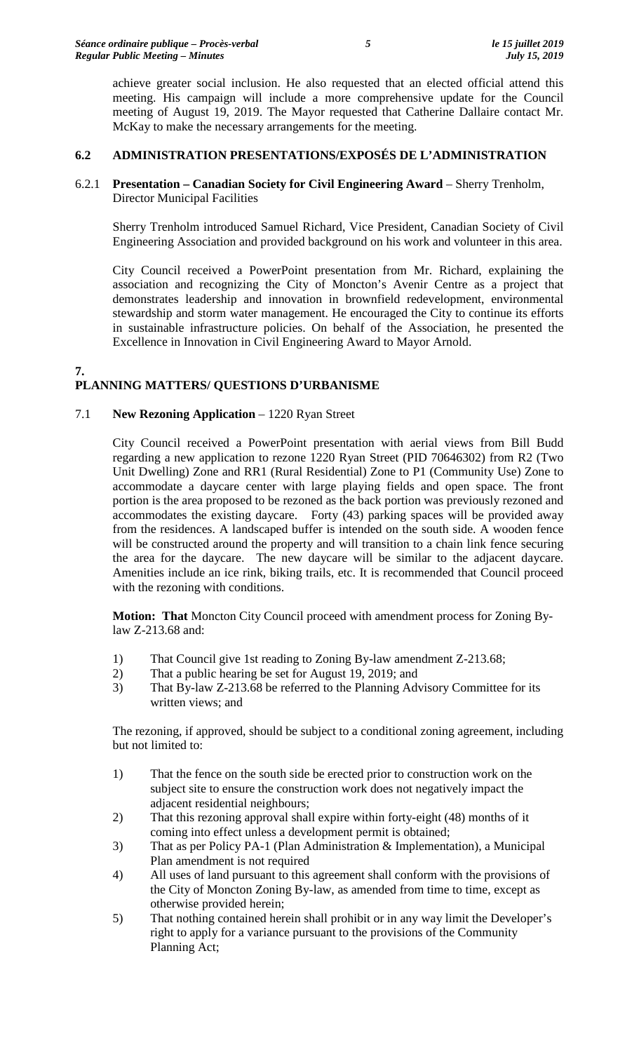achieve greater social inclusion. He also requested that an elected official attend this meeting. His campaign will include a more comprehensive update for the Council meeting of August 19, 2019. The Mayor requested that Catherine Dallaire contact Mr. McKay to make the necessary arrangements for the meeting.

## **6.2 ADMINISTRATION PRESENTATIONS/EXPOSÉS DE L'ADMINISTRATION**

## 6.2.1 **Presentation – Canadian Society for Civil Engineering Award** – Sherry Trenholm, Director Municipal Facilities

Sherry Trenholm introduced Samuel Richard, Vice President, Canadian Society of Civil Engineering Association and provided background on his work and volunteer in this area.

City Council received a PowerPoint presentation from Mr. Richard, explaining the association and recognizing the City of Moncton's Avenir Centre as a project that demonstrates leadership and innovation in brownfield redevelopment, environmental stewardship and storm water management. He encouraged the City to continue its efforts in sustainable infrastructure policies. On behalf of the Association, he presented the Excellence in Innovation in Civil Engineering Award to Mayor Arnold.

#### **7. PLANNING MATTERS/ QUESTIONS D'URBANISME**

## 7.1 **New Rezoning Application** – 1220 Ryan Street

City Council received a PowerPoint presentation with aerial views from Bill Budd regarding a new application to rezone 1220 Ryan Street (PID 70646302) from R2 (Two Unit Dwelling) Zone and RR1 (Rural Residential) Zone to P1 (Community Use) Zone to accommodate a daycare center with large playing fields and open space. The front portion is the area proposed to be rezoned as the back portion was previously rezoned and accommodates the existing daycare. Forty (43) parking spaces will be provided away from the residences. A landscaped buffer is intended on the south side. A wooden fence will be constructed around the property and will transition to a chain link fence securing the area for the daycare. The new daycare will be similar to the adjacent daycare. Amenities include an ice rink, biking trails, etc. It is recommended that Council proceed with the rezoning with conditions.

**Motion: That** Moncton City Council proceed with amendment process for Zoning Bylaw Z-213.68 and:

- 1) That Council give 1st reading to Zoning By-law amendment Z-213.68;
- 2) That a public hearing be set for August 19, 2019; and
- 3) That By-law Z-213.68 be referred to the Planning Advisory Committee for its written views; and

The rezoning, if approved, should be subject to a conditional zoning agreement, including but not limited to:

- 1) That the fence on the south side be erected prior to construction work on the subject site to ensure the construction work does not negatively impact the adjacent residential neighbours;
- 2) That this rezoning approval shall expire within forty-eight (48) months of it coming into effect unless a development permit is obtained;
- 3) That as per Policy PA-1 (Plan Administration & Implementation), a Municipal Plan amendment is not required
- 4) All uses of land pursuant to this agreement shall conform with the provisions of the City of Moncton Zoning By-law, as amended from time to time, except as otherwise provided herein;
- 5) That nothing contained herein shall prohibit or in any way limit the Developer's right to apply for a variance pursuant to the provisions of the Community Planning Act;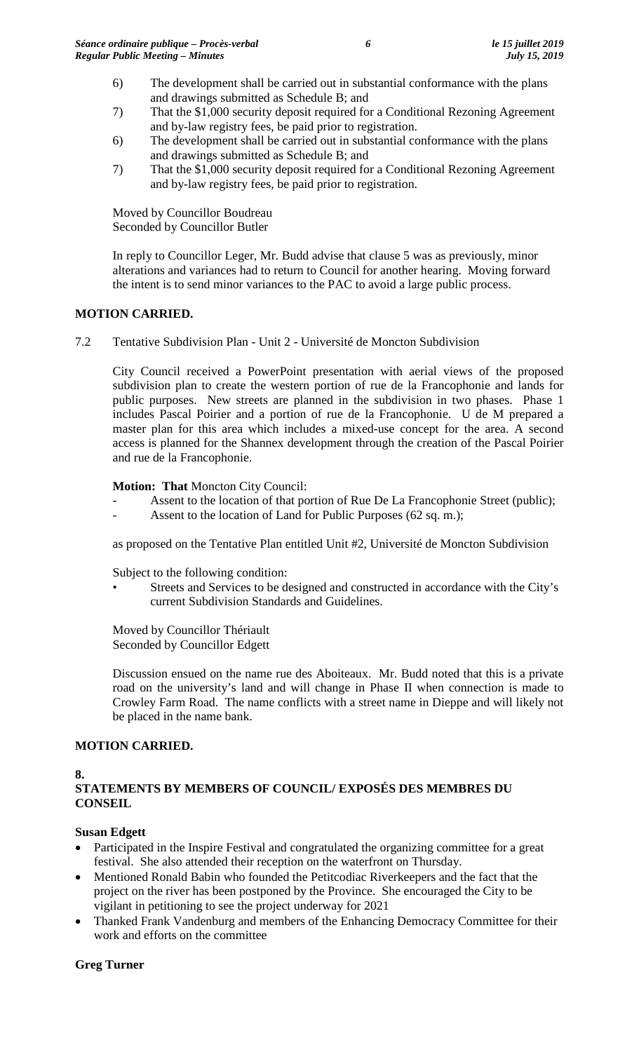- 6) The development shall be carried out in substantial conformance with the plans and drawings submitted as Schedule B; and
- 7) That the \$1,000 security deposit required for a Conditional Rezoning Agreement and by-law registry fees, be paid prior to registration.
- 6) The development shall be carried out in substantial conformance with the plans and drawings submitted as Schedule B; and
- 7) That the \$1,000 security deposit required for a Conditional Rezoning Agreement and by-law registry fees, be paid prior to registration.

Moved by Councillor Boudreau Seconded by Councillor Butler

In reply to Councillor Leger, Mr. Budd advise that clause 5 was as previously, minor alterations and variances had to return to Council for another hearing. Moving forward the intent is to send minor variances to the PAC to avoid a large public process.

## **MOTION CARRIED.**

7.2 Tentative Subdivision Plan - Unit 2 - Université de Moncton Subdivision

City Council received a PowerPoint presentation with aerial views of the proposed subdivision plan to create the western portion of rue de la Francophonie and lands for public purposes. New streets are planned in the subdivision in two phases. Phase 1 includes Pascal Poirier and a portion of rue de la Francophonie. U de M prepared a master plan for this area which includes a mixed-use concept for the area. A second access is planned for the Shannex development through the creation of the Pascal Poirier and rue de la Francophonie.

## **Motion: That** Moncton City Council:

- Assent to the location of that portion of Rue De La Francophonie Street (public);
	- Assent to the location of Land for Public Purposes (62 sq. m.);

as proposed on the Tentative Plan entitled Unit #2, Université de Moncton Subdivision

Subject to the following condition:

Streets and Services to be designed and constructed in accordance with the City's current Subdivision Standards and Guidelines.

Moved by Councillor Thériault Seconded by Councillor Edgett

Discussion ensued on the name rue des Aboiteaux. Mr. Budd noted that this is a private road on the university's land and will change in Phase II when connection is made to Crowley Farm Road. The name conflicts with a street name in Dieppe and will likely not be placed in the name bank.

## **MOTION CARRIED.**

## **8.**

## **STATEMENTS BY MEMBERS OF COUNCIL/ EXPOSÉS DES MEMBRES DU CONSEIL**

## **Susan Edgett**

- Participated in the Inspire Festival and congratulated the organizing committee for a great festival. She also attended their reception on the waterfront on Thursday.
- Mentioned Ronald Babin who founded the Petitcodiac Riverkeepers and the fact that the project on the river has been postponed by the Province. She encouraged the City to be vigilant in petitioning to see the project underway for 2021
- Thanked Frank Vandenburg and members of the Enhancing Democracy Committee for their work and efforts on the committee

## **Greg Turner**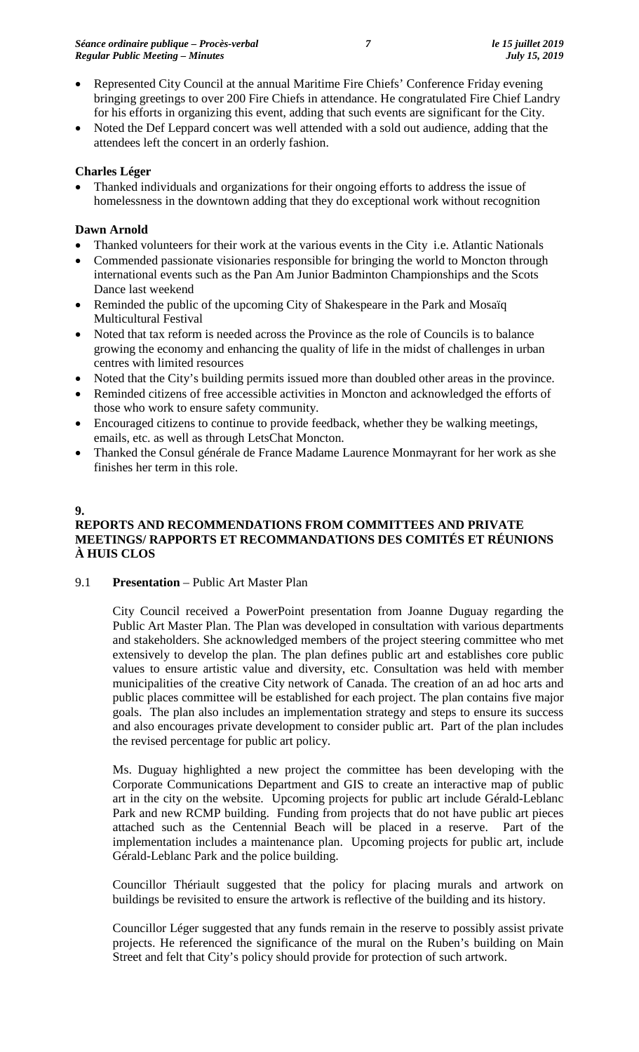- Represented City Council at the annual Maritime Fire Chiefs' Conference Friday evening bringing greetings to over 200 Fire Chiefs in attendance. He congratulated Fire Chief Landry for his efforts in organizing this event, adding that such events are significant for the City.
- Noted the Def Leppard concert was well attended with a sold out audience, adding that the attendees left the concert in an orderly fashion.

## **Charles Léger**

• Thanked individuals and organizations for their ongoing efforts to address the issue of homelessness in the downtown adding that they do exceptional work without recognition

## **Dawn Arnold**

- Thanked volunteers for their work at the various events in the City i.e. Atlantic Nationals
- Commended passionate visionaries responsible for bringing the world to Moncton through international events such as the Pan Am Junior Badminton Championships and the Scots Dance last weekend
- Reminded the public of the upcoming City of Shakespeare in the Park and Mosaïq Multicultural Festival
- Noted that tax reform is needed across the Province as the role of Councils is to balance growing the economy and enhancing the quality of life in the midst of challenges in urban centres with limited resources
- Noted that the City's building permits issued more than doubled other areas in the province.
- Reminded citizens of free accessible activities in Moncton and acknowledged the efforts of those who work to ensure safety community.
- Encouraged citizens to continue to provide feedback, whether they be walking meetings, emails, etc. as well as through LetsChat Moncton.
- Thanked the Consul générale de France Madame Laurence Monmayrant for her work as she finishes her term in this role.

## **9.**

## **REPORTS AND RECOMMENDATIONS FROM COMMITTEES AND PRIVATE MEETINGS/ RAPPORTS ET RECOMMANDATIONS DES COMITÉS ET RÉUNIONS À HUIS CLOS**

9.1 **Presentation** – Public Art Master Plan

City Council received a PowerPoint presentation from Joanne Duguay regarding the Public Art Master Plan. The Plan was developed in consultation with various departments and stakeholders. She acknowledged members of the project steering committee who met extensively to develop the plan. The plan defines public art and establishes core public values to ensure artistic value and diversity, etc. Consultation was held with member municipalities of the creative City network of Canada. The creation of an ad hoc arts and public places committee will be established for each project. The plan contains five major goals. The plan also includes an implementation strategy and steps to ensure its success and also encourages private development to consider public art. Part of the plan includes the revised percentage for public art policy.

Ms. Duguay highlighted a new project the committee has been developing with the Corporate Communications Department and GIS to create an interactive map of public art in the city on the website. Upcoming projects for public art include Gérald-Leblanc Park and new RCMP building. Funding from projects that do not have public art pieces attached such as the Centennial Beach will be placed in a reserve. Part of the implementation includes a maintenance plan. Upcoming projects for public art, include Gérald-Leblanc Park and the police building.

Councillor Thériault suggested that the policy for placing murals and artwork on buildings be revisited to ensure the artwork is reflective of the building and its history.

Councillor Léger suggested that any funds remain in the reserve to possibly assist private projects. He referenced the significance of the mural on the Ruben's building on Main Street and felt that City's policy should provide for protection of such artwork.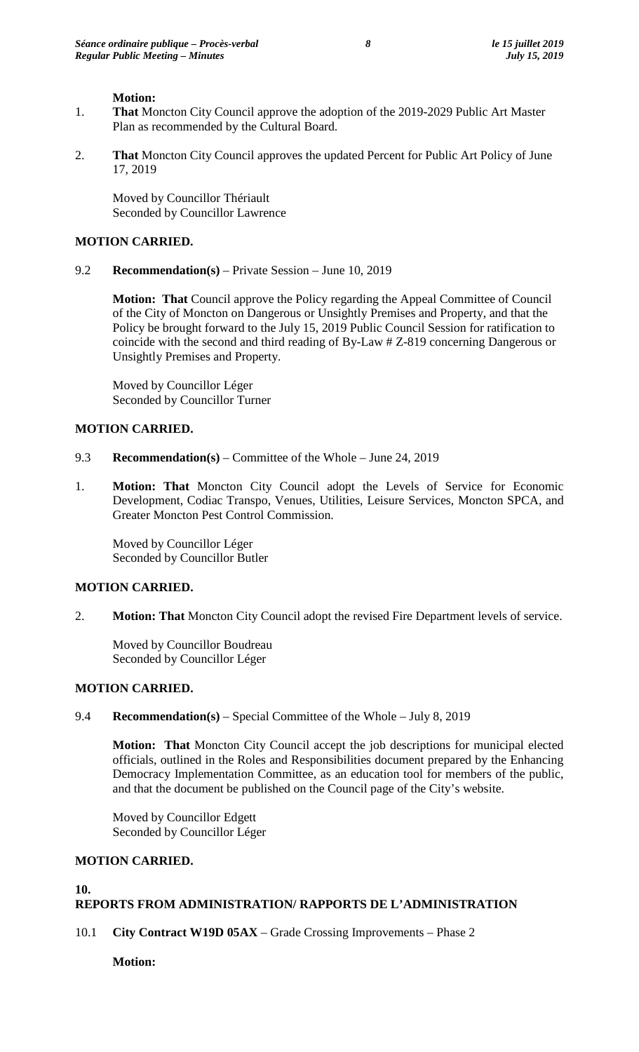#### **Motion:**

- 1. **That** Moncton City Council approve the adoption of the 2019-2029 Public Art Master Plan as recommended by the Cultural Board.
- 2. **That** Moncton City Council approves the updated Percent for Public Art Policy of June 17, 2019

Moved by Councillor Thériault Seconded by Councillor Lawrence

#### **MOTION CARRIED.**

9.2 **Recommendation(s)** – Private Session – June 10, 2019

**Motion: That** Council approve the Policy regarding the Appeal Committee of Council of the City of Moncton on Dangerous or Unsightly Premises and Property, and that the Policy be brought forward to the July 15, 2019 Public Council Session for ratification to coincide with the second and third reading of By-Law # Z-819 concerning Dangerous or Unsightly Premises and Property.

Moved by Councillor Léger Seconded by Councillor Turner

## **MOTION CARRIED.**

- 9.3 **Recommendation(s)** Committee of the Whole June 24, 2019
- 1. **Motion: That** Moncton City Council adopt the Levels of Service for Economic Development, Codiac Transpo, Venues, Utilities, Leisure Services, Moncton SPCA, and Greater Moncton Pest Control Commission.

Moved by Councillor Léger Seconded by Councillor Butler

#### **MOTION CARRIED.**

2. **Motion: That** Moncton City Council adopt the revised Fire Department levels of service.

Moved by Councillor Boudreau Seconded by Councillor Léger

#### **MOTION CARRIED.**

## 9.4 **Recommendation(s)** – Special Committee of the Whole – July 8, 2019

**Motion: That** Moncton City Council accept the job descriptions for municipal elected officials, outlined in the Roles and Responsibilities document prepared by the Enhancing Democracy Implementation Committee, as an education tool for members of the public, and that the document be published on the Council page of the City's website.

Moved by Councillor Edgett Seconded by Councillor Léger

#### **MOTION CARRIED.**

#### **10.**

#### **REPORTS FROM ADMINISTRATION/ RAPPORTS DE L'ADMINISTRATION**

10.1 **City Contract W19D 05AX** – Grade Crossing Improvements – Phase 2

**Motion:**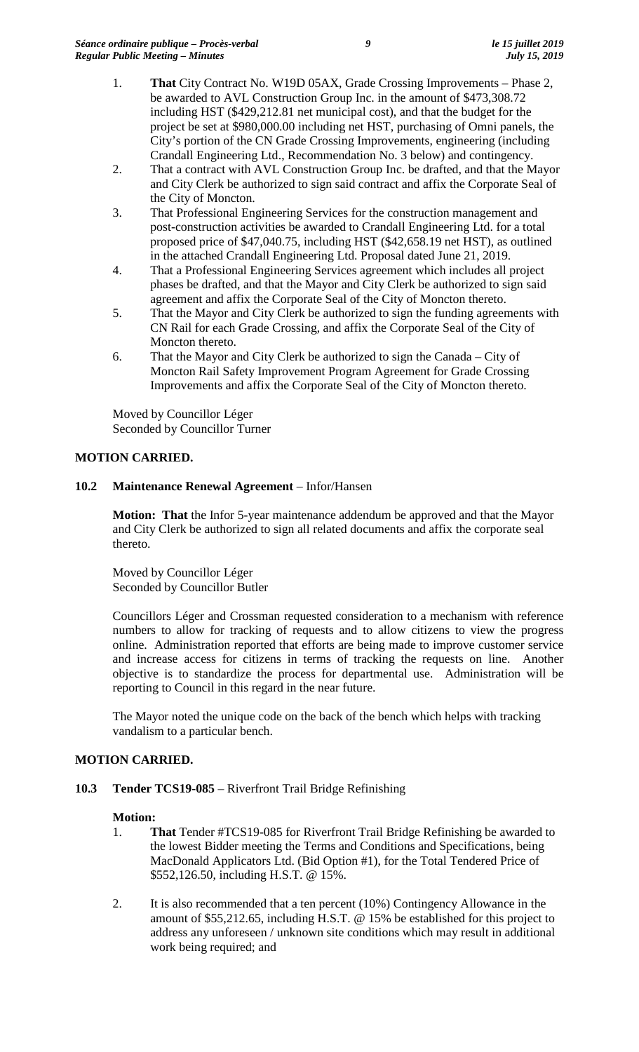- 1. **That** City Contract No. W19D 05AX, Grade Crossing Improvements Phase 2, be awarded to AVL Construction Group Inc. in the amount of \$473,308.72 including HST (\$429,212.81 net municipal cost), and that the budget for the project be set at \$980,000.00 including net HST, purchasing of Omni panels, the City's portion of the CN Grade Crossing Improvements, engineering (including Crandall Engineering Ltd., Recommendation No. 3 below) and contingency.
- 2. That a contract with AVL Construction Group Inc. be drafted, and that the Mayor and City Clerk be authorized to sign said contract and affix the Corporate Seal of the City of Moncton.
- 3. That Professional Engineering Services for the construction management and post-construction activities be awarded to Crandall Engineering Ltd. for a total proposed price of \$47,040.75, including HST (\$42,658.19 net HST), as outlined in the attached Crandall Engineering Ltd. Proposal dated June 21, 2019.
- 4. That a Professional Engineering Services agreement which includes all project phases be drafted, and that the Mayor and City Clerk be authorized to sign said agreement and affix the Corporate Seal of the City of Moncton thereto.
- 5. That the Mayor and City Clerk be authorized to sign the funding agreements with CN Rail for each Grade Crossing, and affix the Corporate Seal of the City of Moncton thereto.
- 6. That the Mayor and City Clerk be authorized to sign the Canada City of Moncton Rail Safety Improvement Program Agreement for Grade Crossing Improvements and affix the Corporate Seal of the City of Moncton thereto.

Moved by Councillor Léger Seconded by Councillor Turner

## **MOTION CARRIED.**

## **10.2 Maintenance Renewal Agreement** – Infor/Hansen

**Motion: That** the Infor 5-year maintenance addendum be approved and that the Mayor and City Clerk be authorized to sign all related documents and affix the corporate seal thereto.

Moved by Councillor Léger Seconded by Councillor Butler

Councillors Léger and Crossman requested consideration to a mechanism with reference numbers to allow for tracking of requests and to allow citizens to view the progress online. Administration reported that efforts are being made to improve customer service and increase access for citizens in terms of tracking the requests on line. Another objective is to standardize the process for departmental use. Administration will be reporting to Council in this regard in the near future.

The Mayor noted the unique code on the back of the bench which helps with tracking vandalism to a particular bench.

## **MOTION CARRIED.**

## **10.3 Tender TCS19-085** – Riverfront Trail Bridge Refinishing

## **Motion:**

- 1. **That** Tender #TCS19-085 for Riverfront Trail Bridge Refinishing be awarded to the lowest Bidder meeting the Terms and Conditions and Specifications, being MacDonald Applicators Ltd. (Bid Option #1), for the Total Tendered Price of \$552,126.50, including H.S.T. @ 15%.
- 2. It is also recommended that a ten percent (10%) Contingency Allowance in the amount of \$55,212.65, including H.S.T. @ 15% be established for this project to address any unforeseen / unknown site conditions which may result in additional work being required; and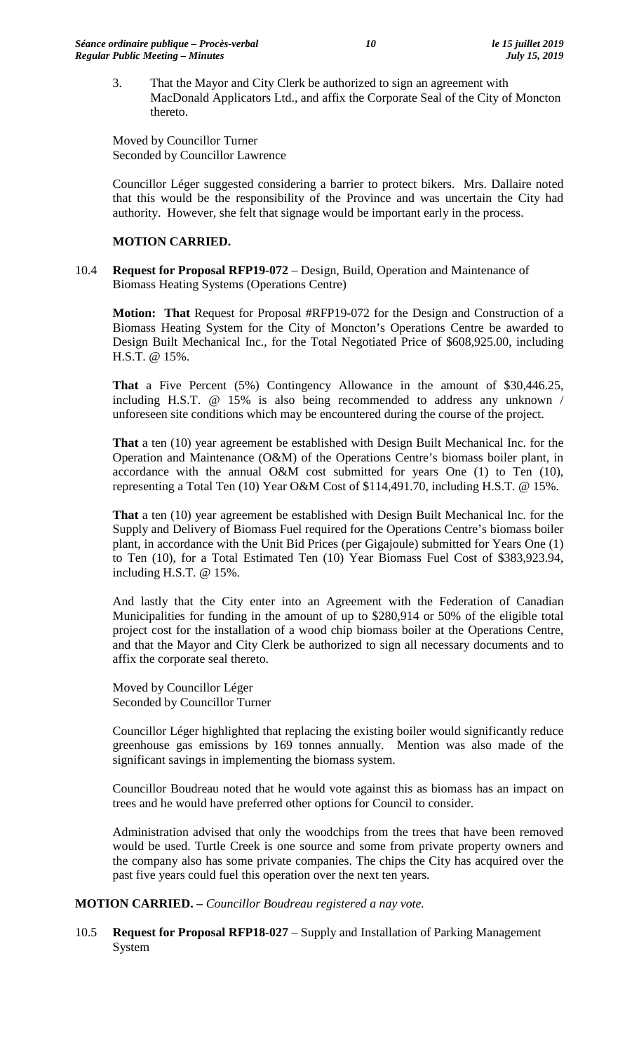3. That the Mayor and City Clerk be authorized to sign an agreement with MacDonald Applicators Ltd., and affix the Corporate Seal of the City of Moncton thereto.

Moved by Councillor Turner Seconded by Councillor Lawrence

Councillor Léger suggested considering a barrier to protect bikers. Mrs. Dallaire noted that this would be the responsibility of the Province and was uncertain the City had authority. However, she felt that signage would be important early in the process.

## **MOTION CARRIED.**

10.4 **Request for Proposal RFP19-072** – Design, Build, Operation and Maintenance of Biomass Heating Systems (Operations Centre)

**Motion: That** Request for Proposal #RFP19-072 for the Design and Construction of a Biomass Heating System for the City of Moncton's Operations Centre be awarded to Design Built Mechanical Inc., for the Total Negotiated Price of \$608,925.00, including H.S.T. @ 15%.

**That** a Five Percent (5%) Contingency Allowance in the amount of \$30,446.25, including H.S.T. @ 15% is also being recommended to address any unknown / unforeseen site conditions which may be encountered during the course of the project.

**That** a ten (10) year agreement be established with Design Built Mechanical Inc. for the Operation and Maintenance (O&M) of the Operations Centre's biomass boiler plant, in accordance with the annual O&M cost submitted for years One (1) to Ten (10), representing a Total Ten (10) Year O&M Cost of \$114,491.70, including H.S.T. @ 15%.

**That** a ten (10) year agreement be established with Design Built Mechanical Inc. for the Supply and Delivery of Biomass Fuel required for the Operations Centre's biomass boiler plant, in accordance with the Unit Bid Prices (per Gigajoule) submitted for Years One (1) to Ten (10), for a Total Estimated Ten (10) Year Biomass Fuel Cost of \$383,923.94, including H.S.T. @ 15%.

And lastly that the City enter into an Agreement with the Federation of Canadian Municipalities for funding in the amount of up to \$280,914 or 50% of the eligible total project cost for the installation of a wood chip biomass boiler at the Operations Centre, and that the Mayor and City Clerk be authorized to sign all necessary documents and to affix the corporate seal thereto.

Moved by Councillor Léger Seconded by Councillor Turner

Councillor Léger highlighted that replacing the existing boiler would significantly reduce greenhouse gas emissions by 169 tonnes annually. Mention was also made of the significant savings in implementing the biomass system.

Councillor Boudreau noted that he would vote against this as biomass has an impact on trees and he would have preferred other options for Council to consider.

Administration advised that only the woodchips from the trees that have been removed would be used. Turtle Creek is one source and some from private property owners and the company also has some private companies. The chips the City has acquired over the past five years could fuel this operation over the next ten years.

## **MOTION CARRIED. –** *Councillor Boudreau registered a nay vote.*

10.5 **Request for Proposal RFP18-027** – Supply and Installation of Parking Management System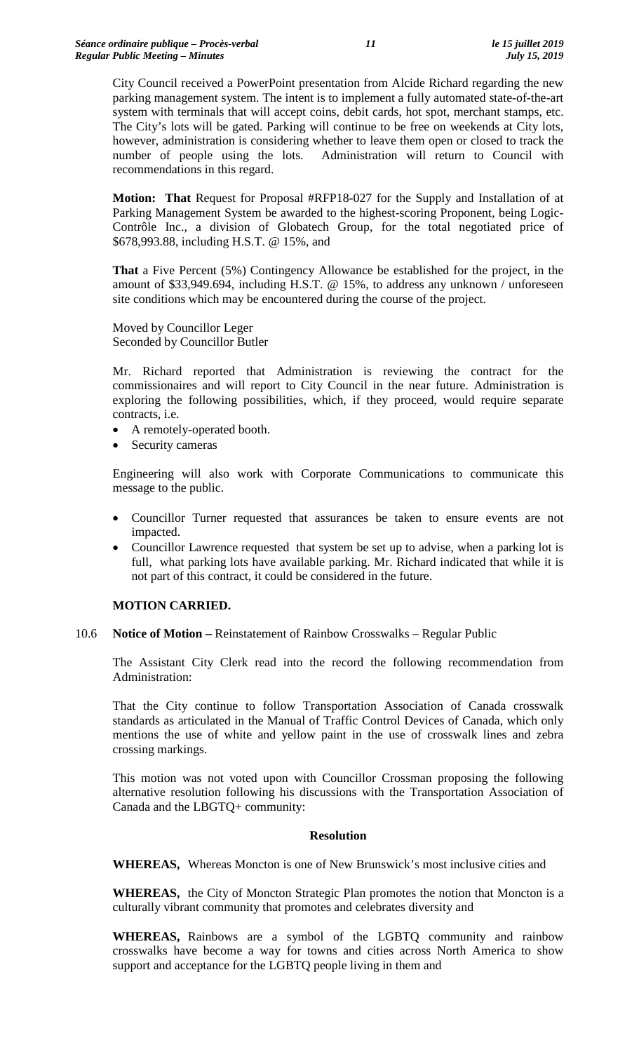City Council received a PowerPoint presentation from Alcide Richard regarding the new parking management system. The intent is to implement a fully automated state-of-the-art system with terminals that will accept coins, debit cards, hot spot, merchant stamps, etc. The City's lots will be gated. Parking will continue to be free on weekends at City lots, however, administration is considering whether to leave them open or closed to track the number of people using the lots. Administration will return to Council with recommendations in this regard.

**Motion: That** Request for Proposal #RFP18-027 for the Supply and Installation of at Parking Management System be awarded to the highest-scoring Proponent, being Logic-Contrôle Inc., a division of Globatech Group, for the total negotiated price of \$678,993.88, including H.S.T. @ 15%, and

**That** a Five Percent (5%) Contingency Allowance be established for the project, in the amount of \$33,949.694, including H.S.T. @ 15%, to address any unknown / unforeseen site conditions which may be encountered during the course of the project.

Moved by Councillor Leger Seconded by Councillor Butler

Mr. Richard reported that Administration is reviewing the contract for the commissionaires and will report to City Council in the near future. Administration is exploring the following possibilities, which, if they proceed, would require separate contracts, i.e.

- A remotely-operated booth.
- Security cameras

Engineering will also work with Corporate Communications to communicate this message to the public.

- Councillor Turner requested that assurances be taken to ensure events are not impacted.
- Councillor Lawrence requested that system be set up to advise, when a parking lot is full, what parking lots have available parking. Mr. Richard indicated that while it is not part of this contract, it could be considered in the future.

## **MOTION CARRIED.**

10.6 **Notice of Motion –** Reinstatement of Rainbow Crosswalks – Regular Public

The Assistant City Clerk read into the record the following recommendation from Administration:

That the City continue to follow Transportation Association of Canada crosswalk standards as articulated in the Manual of Traffic Control Devices of Canada, which only mentions the use of white and yellow paint in the use of crosswalk lines and zebra crossing markings.

This motion was not voted upon with Councillor Crossman proposing the following alternative resolution following his discussions with the Transportation Association of Canada and the LBGTQ+ community:

## **Resolution**

**WHEREAS,** Whereas Moncton is one of New Brunswick's most inclusive cities and

**WHEREAS,** the City of Moncton Strategic Plan promotes the notion that Moncton is a culturally vibrant community that promotes and celebrates diversity and

**WHEREAS,** Rainbows are a symbol of the LGBTQ community and rainbow crosswalks have become a way for towns and cities across North America to show support and acceptance for the LGBTQ people living in them and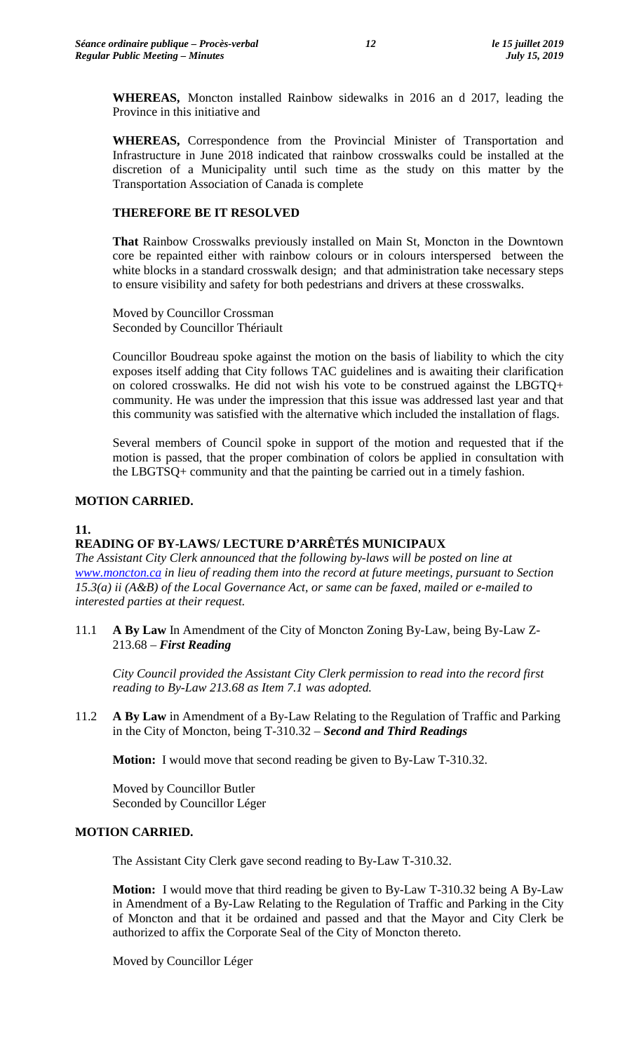**WHEREAS,** Moncton installed Rainbow sidewalks in 2016 an d 2017, leading the Province in this initiative and

**WHEREAS,** Correspondence from the Provincial Minister of Transportation and Infrastructure in June 2018 indicated that rainbow crosswalks could be installed at the discretion of a Municipality until such time as the study on this matter by the Transportation Association of Canada is complete

## **THEREFORE BE IT RESOLVED**

**That** Rainbow Crosswalks previously installed on Main St, Moncton in the Downtown core be repainted either with rainbow colours or in colours interspersed between the white blocks in a standard crosswalk design; and that administration take necessary steps to ensure visibility and safety for both pedestrians and drivers at these crosswalks.

Moved by Councillor Crossman Seconded by Councillor Thériault

Councillor Boudreau spoke against the motion on the basis of liability to which the city exposes itself adding that City follows TAC guidelines and is awaiting their clarification on colored crosswalks. He did not wish his vote to be construed against the LBGTQ+ community. He was under the impression that this issue was addressed last year and that this community was satisfied with the alternative which included the installation of flags.

Several members of Council spoke in support of the motion and requested that if the motion is passed, that the proper combination of colors be applied in consultation with the LBGTSQ+ community and that the painting be carried out in a timely fashion.

## **MOTION CARRIED.**

**11.**

# **READING OF BY-LAWS/ LECTURE D'ARRÊTÉS MUNICIPAUX**

*The Assistant City Clerk announced that the following by-laws will be posted on line at [www.moncton.ca](http://www.moncton.ca/) in lieu of reading them into the record at future meetings, pursuant to Section 15.3(a) ii (A&B) of the Local Governance Act, or same can be faxed, mailed or e-mailed to interested parties at their request.*

11.1 **A By Law** In Amendment of the City of Moncton Zoning By-Law, being By-Law Z-213.68 – *First Reading*

*City Council provided the Assistant City Clerk permission to read into the record first reading to By-Law 213.68 as Item 7.1 was adopted.*

11.2 **A By Law** in Amendment of a By-Law Relating to the Regulation of Traffic and Parking in the City of Moncton, being T-310.32 – *Second and Third Readings*

**Motion:** I would move that second reading be given to By-Law T-310.32.

Moved by Councillor Butler Seconded by Councillor Léger

## **MOTION CARRIED.**

The Assistant City Clerk gave second reading to By-Law T-310.32.

**Motion:** I would move that third reading be given to By-Law T-310.32 being A By-Law in Amendment of a By-Law Relating to the Regulation of Traffic and Parking in the City of Moncton and that it be ordained and passed and that the Mayor and City Clerk be authorized to affix the Corporate Seal of the City of Moncton thereto.

Moved by Councillor Léger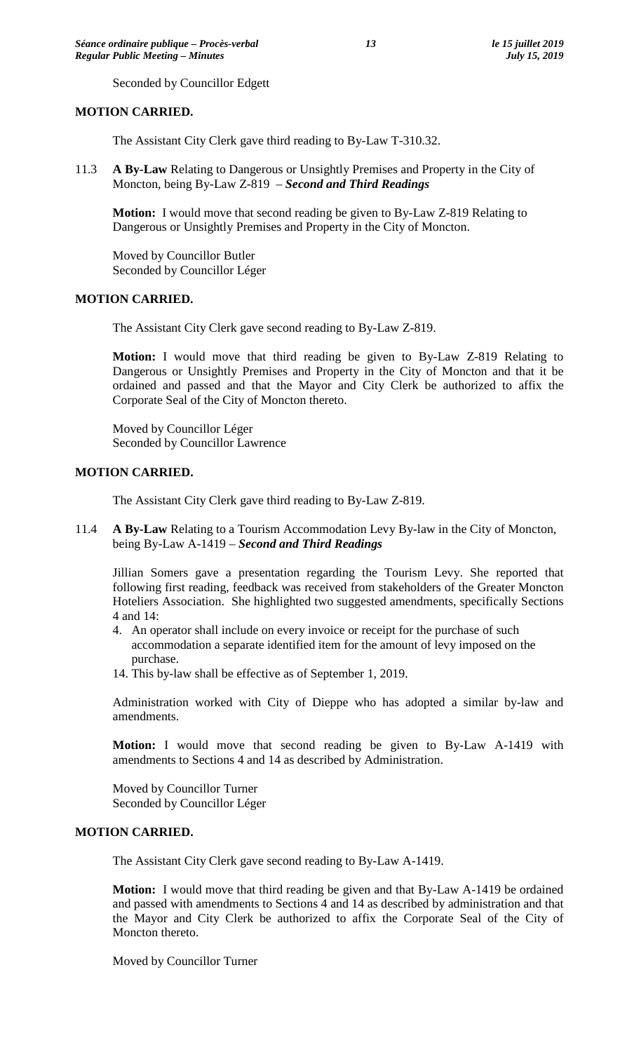Seconded by Councillor Edgett

#### **MOTION CARRIED.**

The Assistant City Clerk gave third reading to By-Law T-310.32.

11.3 **A By-Law** Relating to Dangerous or Unsightly Premises and Property in the City of Moncton, being By-Law Z-819 – *Second and Third Readings*

**Motion:** I would move that second reading be given to By-Law Z-819 Relating to Dangerous or Unsightly Premises and Property in the City of Moncton.

Moved by Councillor Butler Seconded by Councillor Léger

#### **MOTION CARRIED.**

The Assistant City Clerk gave second reading to By-Law Z-819.

**Motion:** I would move that third reading be given to By-Law Z-819 Relating to Dangerous or Unsightly Premises and Property in the City of Moncton and that it be ordained and passed and that the Mayor and City Clerk be authorized to affix the Corporate Seal of the City of Moncton thereto.

Moved by Councillor Léger Seconded by Councillor Lawrence

#### **MOTION CARRIED.**

The Assistant City Clerk gave third reading to By-Law Z-819.

11.4 **A By-Law** Relating to a Tourism Accommodation Levy By-law in the City of Moncton, being By-Law A-1419 – *Second and Third Readings*

Jillian Somers gave a presentation regarding the Tourism Levy. She reported that following first reading, feedback was received from stakeholders of the Greater Moncton Hoteliers Association. She highlighted two suggested amendments, specifically Sections 4 and 14:

- 4. An operator shall include on every invoice or receipt for the purchase of such accommodation a separate identified item for the amount of levy imposed on the purchase.
- 14. This by-law shall be effective as of September 1, 2019.

Administration worked with City of Dieppe who has adopted a similar by-law and amendments.

**Motion:** I would move that second reading be given to By-Law A-1419 with amendments to Sections 4 and 14 as described by Administration.

Moved by Councillor Turner Seconded by Councillor Léger

#### **MOTION CARRIED.**

The Assistant City Clerk gave second reading to By-Law A-1419.

**Motion:** I would move that third reading be given and that By-Law A-1419 be ordained and passed with amendments to Sections 4 and 14 as described by administration and that the Mayor and City Clerk be authorized to affix the Corporate Seal of the City of Moncton thereto.

Moved by Councillor Turner